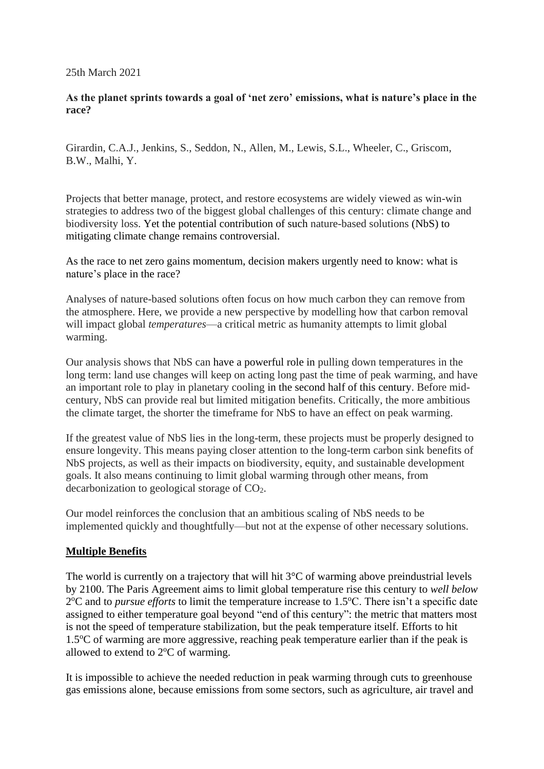25th March 2021

#### **As the planet sprints towards a goal of 'net zero' emissions, what is nature's place in the race?**

Girardin, C.A.J., Jenkins, S., Seddon, N., Allen, M., Lewis, S.L., Wheeler, C., Griscom, B.W., Malhi, Y.

Projects that better manage, protect, and restore ecosystems are widely viewed as win-win strategies to address two of the biggest global challenges of this century: climate change and biodiversity loss. Yet the potential contribution of such nature-based solutions (NbS) to mitigating climate change remains controversial.

As the race to net zero gains momentum, decision makers urgently need to know: what is nature's place in the race?

Analyses of nature-based solutions often focus on how much carbon they can remove from the atmosphere. Here, we provide a new perspective by modelling how that carbon removal will impact global *temperatures*—a critical metric as humanity attempts to limit global warming.

Our analysis shows that NbS can have a powerful role in pulling down temperatures in the long term: land use changes will keep on acting long past the time of peak warming, and have an important role to play in planetary cooling in the second half of this century. Before midcentury, NbS can provide real but limited mitigation benefits. Critically, the more ambitious the climate target, the shorter the timeframe for NbS to have an effect on peak warming.

If the greatest value of NbS lies in the long-term, these projects must be properly designed to ensure longevity. This means paying closer attention to the long-term carbon sink benefits of NbS projects, as well as their impacts on biodiversity, equity, and sustainable development goals. It also means continuing to limit global warming through other means, from decarbonization to geological storage of CO2.

Our model reinforces the conclusion that an ambitious scaling of NbS needs to be implemented quickly and thoughtfully—but not at the expense of other necessary solutions.

# **Multiple Benefits**

The world is currently on a trajectory that will hit  $3^{\circ}$ C of warming above preindustrial levels by 2100. The Paris Agreement aims to limit global temperature rise this century to *well below* 2<sup>o</sup>C and to *pursue efforts* to limit the temperature increase to 1.5<sup>o</sup>C. There isn't a specific date assigned to either temperature goal beyond "end of this century": the metric that matters most is not the speed of temperature stabilization, but the peak temperature itself. Efforts to hit  $1.5\textdegree$ C of warming are more aggressive, reaching peak temperature earlier than if the peak is allowed to extend to  $2^{\circ}$ C of warming.

It is impossible to achieve the needed reduction in peak warming through cuts to greenhouse gas emissions alone, because emissions from some sectors, such as agriculture, air travel and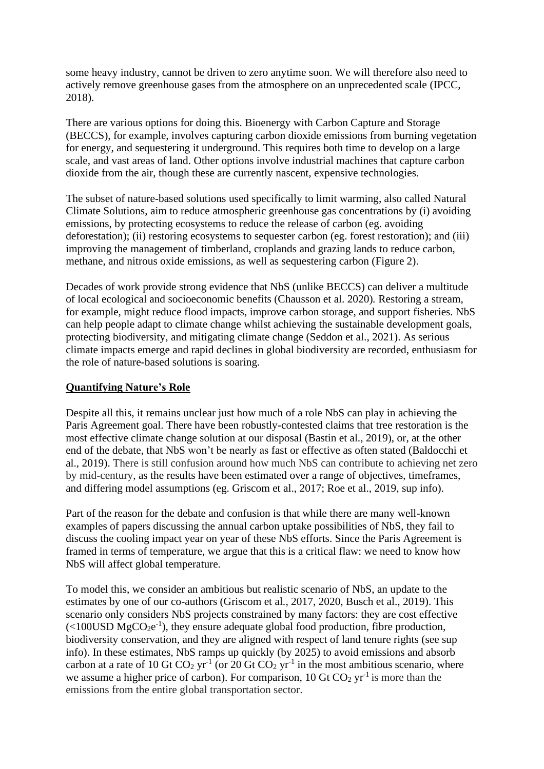some heavy industry, cannot be driven to zero anytime soon. We will therefore also need to actively remove greenhouse gases from the atmosphere on an unprecedented scale (IPCC, 2018).

There are various options for doing this. Bioenergy with Carbon Capture and Storage (BECCS), for example, involves capturing carbon dioxide emissions from burning vegetation for energy, and sequestering it underground. This requires both time to develop on a large scale, and vast areas of land. Other options involve industrial machines that capture carbon dioxide from the air, though these are currently nascent, expensive technologies.

The subset of nature-based solutions used specifically to limit warming, also called Natural Climate Solutions, aim to reduce atmospheric greenhouse gas concentrations by (i) avoiding emissions, by protecting ecosystems to reduce the release of carbon (eg. avoiding deforestation); (ii) restoring ecosystems to sequester carbon (eg. forest restoration); and (iii) improving the management of timberland, croplands and grazing lands to reduce carbon, methane, and nitrous oxide emissions, as well as sequestering carbon (Figure 2).

Decades of work provide strong evidence that NbS (unlike BECCS) can deliver a multitude of local ecological and socioeconomic benefits (Chausson et al. 2020)*.* Restoring a stream, for example, might reduce flood impacts, improve carbon storage, and support fisheries. NbS can help people adapt to climate change whilst achieving the sustainable development goals, protecting biodiversity, and mitigating climate change (Seddon et al., 2021). As serious climate impacts emerge and rapid declines in global biodiversity are recorded, enthusiasm for the role of nature-based solutions is soaring.

#### **Quantifying Nature's Role**

Despite all this, it remains unclear just how much of a role NbS can play in achieving the Paris Agreement goal. There have been robustly-contested claims that tree restoration is the most effective climate change solution at our disposal (Bastin et al., 2019), or, at the other end of the debate, that NbS won't be nearly as fast or effective as often stated (Baldocchi et al., 2019). There is still confusion around how much NbS can contribute to achieving net zero by mid-century, as the results have been estimated over a range of objectives, timeframes, and differing model assumptions (eg. Griscom et al., 2017; Roe et al., 2019, sup info).

Part of the reason for the debate and confusion is that while there are many well-known examples of papers discussing the annual carbon uptake possibilities of NbS, they fail to discuss the cooling impact year on year of these NbS efforts. Since the Paris Agreement is framed in terms of temperature, we argue that this is a critical flaw: we need to know how NbS will affect global temperature.

To model this, we consider an ambitious but realistic scenario of NbS, an update to the estimates by one of our co-authors (Griscom et al., 2017, 2020, Busch et al., 2019). This scenario only considers NbS projects constrained by many factors: they are cost effective  $\left($  <100USD MgCO<sub>2</sub>e<sup>-1</sup>), they ensure adequate global food production, fibre production, biodiversity conservation, and they are aligned with respect of land tenure rights (see sup info). In these estimates, NbS ramps up quickly (by 2025) to avoid emissions and absorb carbon at a rate of 10 Gt  $CO_2$  yr<sup>-1</sup> (or 20 Gt  $CO_2$  yr<sup>-1</sup> in the most ambitious scenario, where we assume a higher price of carbon). For comparison, 10 Gt  $CO<sub>2</sub>$  yr<sup>-1</sup> is more than the emissions from the entire global transportation sector.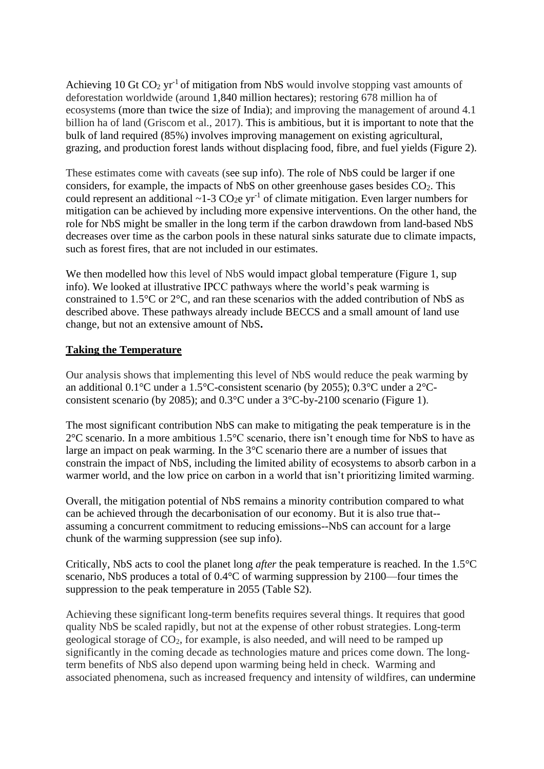Achieving 10 Gt  $CO<sub>2</sub> yr<sup>-1</sup>$  of mitigation from NbS would involve stopping vast amounts of deforestation worldwide (around 1,840 million hectares); restoring 678 million ha of ecosystems (more than twice the size of India); and improving the management of around 4.1 billion ha of land (Griscom et al., 2017). This is ambitious, but it is important to note that the bulk of land required (85%) involves improving management on existing agricultural, grazing, and production forest lands without displacing food, fibre, and fuel yields (Figure 2).

These estimates come with caveats (see sup info). The role of NbS could be larger if one considers, for example, the impacts of NbS on other greenhouse gases besides  $CO<sub>2</sub>$ . This could represent an additional  $\sim$ 1-3 CO<sub>2</sub>e yr<sup>-1</sup> of climate mitigation. Even larger numbers for mitigation can be achieved by including more expensive interventions. On the other hand, the role for NbS might be smaller in the long term if the carbon drawdown from land-based NbS decreases over time as the carbon pools in these natural sinks saturate due to climate impacts, such as forest fires, that are not included in our estimates.

We then modelled how this level of NbS would impact global temperature (Figure 1, sup info). We looked at illustrative IPCC pathways where the world's peak warming is constrained to 1.5°C or 2°C, and ran these scenarios with the added contribution of NbS as described above. These pathways already include BECCS and a small amount of land use change, but not an extensive amount of NbS**.**

## **Taking the Temperature**

Our analysis shows that implementing this level of NbS would reduce the peak warming by an additional 0.1°C under a 1.5°C-consistent scenario (by 2055); 0.3°C under a 2°Cconsistent scenario (by 2085); and 0.3°C under a 3°C-by-2100 scenario (Figure 1).

The most significant contribution NbS can make to mitigating the peak temperature is in the 2°C scenario. In a more ambitious 1.5°C scenario, there isn't enough time for NbS to have as large an impact on peak warming. In the 3°C scenario there are a number of issues that constrain the impact of NbS, including the limited ability of ecosystems to absorb carbon in a warmer world, and the low price on carbon in a world that isn't prioritizing limited warming.

Overall, the mitigation potential of NbS remains a minority contribution compared to what can be achieved through the decarbonisation of our economy. But it is also true that- assuming a concurrent commitment to reducing emissions--NbS can account for a large chunk of the warming suppression (see sup info).

Critically, NbS acts to cool the planet long *after* the peak temperature is reached. In the 1.5°C scenario, NbS produces a total of 0.4°C of warming suppression by 2100—four times the suppression to the peak temperature in 2055 (Table S2).

Achieving these significant long-term benefits requires several things. It requires that good quality NbS be scaled rapidly, but not at the expense of other robust strategies. Long-term geological storage of CO2, for example, is also needed, and will need to be ramped up significantly in the coming decade as technologies mature and prices come down. The longterm benefits of NbS also depend upon warming being held in check. Warming and associated phenomena, such as increased frequency and intensity of wildfires, can undermine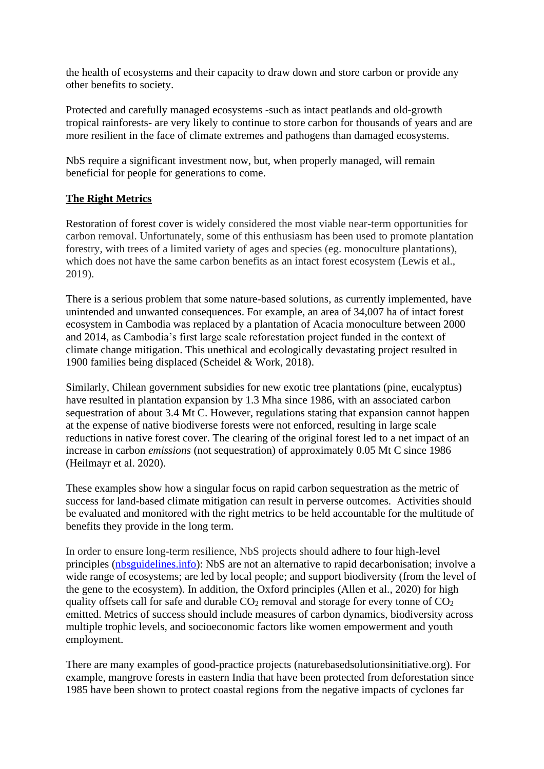the health of ecosystems and their capacity to draw down and store carbon or provide any other benefits to society.

Protected and carefully managed ecosystems -such as intact peatlands and old-growth tropical rainforests- are very likely to continue to store carbon for thousands of years and are more resilient in the face of climate extremes and pathogens than damaged ecosystems.

NbS require a significant investment now, but, when properly managed, will remain beneficial for people for generations to come.

## **The Right Metrics**

Restoration of forest cover is widely considered the most viable near-term opportunities for carbon removal. Unfortunately, some of this enthusiasm has been used to promote plantation forestry, with trees of a limited variety of ages and species (eg. monoculture plantations), which does not have the same carbon benefits as an intact forest ecosystem (Lewis et al., 2019).

There is a serious problem that some nature-based solutions, as currently implemented, have unintended and unwanted consequences. For example, an area of 34,007 ha of intact forest ecosystem in Cambodia was replaced by a plantation of Acacia monoculture between 2000 and 2014, as Cambodia's first large scale reforestation project funded in the context of climate change mitigation. This unethical and ecologically devastating project resulted in 1900 families being displaced (Scheidel & Work, 2018).

Similarly, Chilean government subsidies for new exotic tree plantations (pine, eucalyptus) have resulted in plantation expansion by 1.3 Mha since 1986, with an associated carbon sequestration of about 3.4 Mt C. However, regulations stating that expansion cannot happen at the expense of native biodiverse forests were not enforced, resulting in large scale reductions in native forest cover. The clearing of the original forest led to a net impact of an increase in carbon *emissions* (not sequestration) of approximately 0.05 Mt C since 1986 (Heilmayr et al. 2020).

These examples show how a singular focus on rapid carbon sequestration as the metric of success for land-based climate mitigation can result in perverse outcomes. Activities should be evaluated and monitored with the right metrics to be held accountable for the multitude of benefits they provide in the long term.

In order to ensure long-term resilience, NbS projects should adhere to four high-level principles [\(nbsguidelines.info\)](http://www.nbsguidelines.info/): NbS are not an alternative to rapid decarbonisation; involve a wide range of ecosystems; are led by local people; and support biodiversity (from the level of the gene to the ecosystem). In addition, the Oxford principles (Allen et al., 2020) for high quality offsets call for safe and durable  $CO_2$  removal and storage for every tonne of  $CO_2$ emitted. Metrics of success should include measures of carbon dynamics, biodiversity across multiple trophic levels, and socioeconomic factors like women empowerment and youth employment.

There are many examples of good-practice projects (naturebasedsolutionsinitiative.org). For example, mangrove forests in eastern India that have been protected from deforestation since 1985 have been shown to protect coastal regions from the negative impacts of cyclones far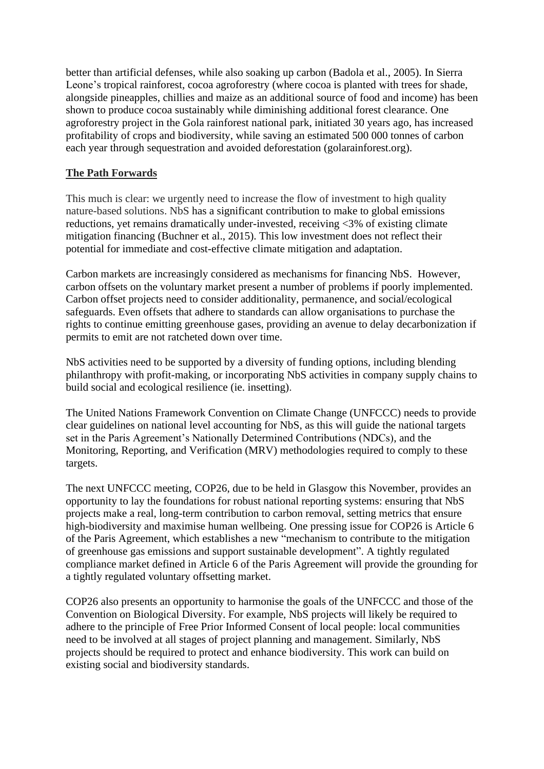better than artificial defenses, while also soaking up carbon (Badola et al., 2005). In Sierra Leone's tropical rainforest, cocoa agroforestry (where cocoa is planted with trees for shade, alongside pineapples, chillies and maize as an additional source of food and income) has been shown to produce cocoa sustainably while diminishing additional forest clearance. One agroforestry project in the Gola rainforest national park, initiated 30 years ago, has increased profitability of crops and biodiversity, while saving an estimated 500 000 tonnes of carbon each year through sequestration and avoided deforestation (golarainforest.org).

## **The Path Forwards**

This much is clear: we urgently need to increase the flow of investment to high quality nature-based solutions. NbS has a significant contribution to make to global emissions reductions, yet remains dramatically under-invested, receiving <3% of existing climate mitigation financing (Buchner et al., 2015). This low investment does not reflect their potential for immediate and cost-effective climate mitigation and adaptation.

Carbon markets are increasingly considered as mechanisms for financing NbS. However, carbon offsets on the voluntary market present a number of problems if poorly implemented. Carbon offset projects need to consider additionality, permanence, and social/ecological safeguards. Even offsets that adhere to standards can allow organisations to purchase the rights to continue emitting greenhouse gases, providing an avenue to delay decarbonization if permits to emit are not ratcheted down over time.

NbS activities need to be supported by a diversity of funding options, including blending philanthropy with profit-making, or incorporating NbS activities in company supply chains to build social and ecological resilience (ie. insetting).

The United Nations Framework Convention on Climate Change (UNFCCC) needs to provide clear guidelines on national level accounting for NbS, as this will guide the national targets set in the Paris Agreement's Nationally Determined Contributions (NDCs), and the Monitoring, Reporting, and Verification (MRV) methodologies required to comply to these targets.

The next UNFCCC meeting, COP26, due to be held in Glasgow this November, provides an opportunity to lay the foundations for robust national reporting systems: ensuring that NbS projects make a real, long-term contribution to carbon removal, setting metrics that ensure high-biodiversity and maximise human wellbeing. One pressing issue for COP26 is Article 6 of the Paris Agreement, which establishes a new "mechanism to contribute to the mitigation of greenhouse gas emissions and support sustainable development". A tightly regulated compliance market defined in Article 6 of the Paris Agreement will provide the grounding for a tightly regulated voluntary offsetting market.

COP26 also presents an opportunity to harmonise the goals of the UNFCCC and those of the Convention on Biological Diversity. For example, NbS projects will likely be required to adhere to the principle of Free Prior Informed Consent of local people: local communities need to be involved at all stages of project planning and management. Similarly, NbS projects should be required to protect and enhance biodiversity. This work can build on existing social and biodiversity standards.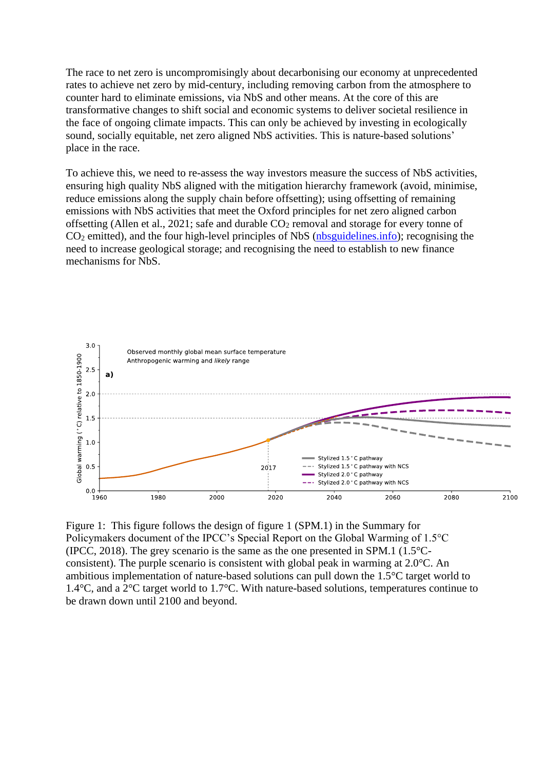The race to net zero is uncompromisingly about decarbonising our economy at unprecedented rates to achieve net zero by mid-century, including removing carbon from the atmosphere to counter hard to eliminate emissions, via NbS and other means. At the core of this are transformative changes to shift social and economic systems to deliver societal resilience in the face of ongoing climate impacts. This can only be achieved by investing in ecologically sound, socially equitable, net zero aligned NbS activities. This is nature-based solutions' place in the race.

To achieve this, we need to re-assess the way investors measure the success of NbS activities, ensuring high quality NbS aligned with the mitigation hierarchy framework (avoid, minimise, reduce emissions along the supply chain before offsetting); using offsetting of remaining emissions with NbS activities that meet the Oxford principles for net zero aligned carbon offsetting (Allen et al., 2021; safe and durable CO<sub>2</sub> removal and storage for every tonne of CO<sup>2</sup> emitted), and the four high-level principles of NbS [\(nbsguidelines.info\)](http://www.nbsguidelines.info/); recognising the need to increase geological storage; and recognising the need to establish to new finance mechanisms for NbS.



Figure 1: This figure follows the design of figure 1 (SPM.1) in the Summary for Policymakers document of the IPCC's Special Report on the Global Warming of 1.5°C (IPCC, 2018). The grey scenario is the same as the one presented in SPM.1 (1.5°Cconsistent). The purple scenario is consistent with global peak in warming at 2.0°C. An ambitious implementation of nature-based solutions can pull down the 1.5°C target world to 1.4°C, and a 2°C target world to 1.7°C. With nature-based solutions, temperatures continue to be drawn down until 2100 and beyond.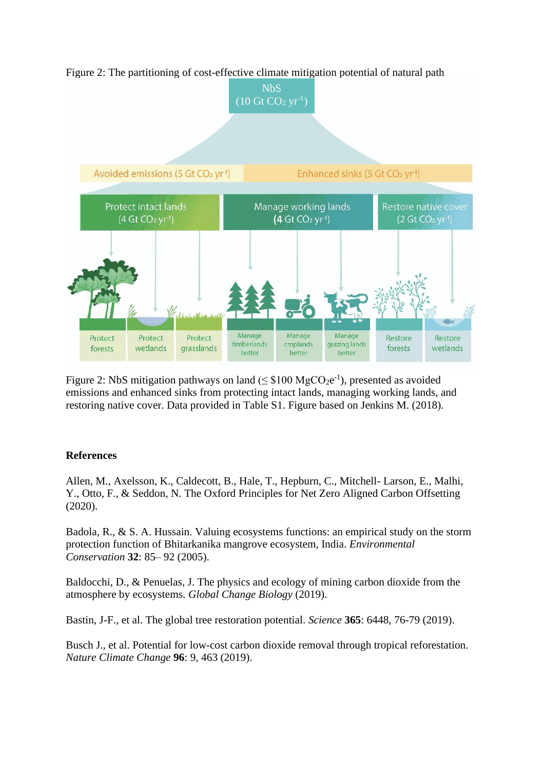

Figure 2: The partitioning of cost-effective climate mitigation potential of natural path

Figure 2: NbS mitigation pathways on land  $(\leq$  \$100 MgCO<sub>2</sub>e<sup>-1</sup>), presented as avoided emissions and enhanced sinks from protecting intact lands, managing working lands, and restoring native cover. Data provided in Table S1. Figure based on Jenkins M. (2018).

### **References**

Allen, M., Axelsson, K., Caldecott, B., Hale, T., Hepburn, C., Mitchell- Larson, E., Malhi, Y., Otto, F., & Seddon, N. The Oxford Principles for Net Zero Aligned Carbon Offsetting (2020).

Badola, R., & S. A. Hussain. Valuing ecosystems functions: an empirical study on the storm protection function of Bhitarkanika mangrove ecosystem, India. *Environmental Conservation* **32**: 85– 92 (2005).

Baldocchi, D., & Penuelas, J. The physics and ecology of mining carbon dioxide from the atmosphere by ecosystems. *Global Change Biology* (2019).

Bastin, J-F., et al. The global tree restoration potential. *Science* **365**: 6448, 76-79 (2019).

Busch J., et al. Potential for low-cost carbon dioxide removal through tropical reforestation. *Nature Climate Change* **96**: 9, 463 (2019).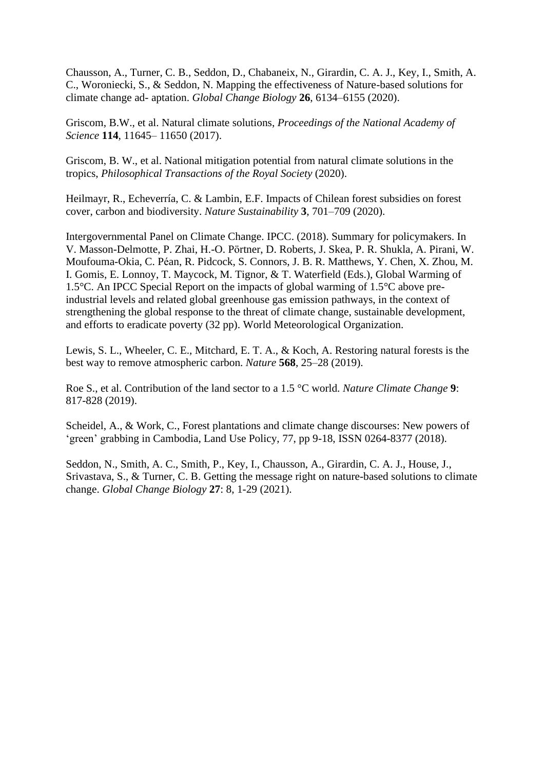Chausson, A., Turner, C. B., Seddon, D., Chabaneix, N., Girardin, C. A. J., Key, I., Smith, A. C., Woroniecki, S., & Seddon, N. Mapping the effectiveness of Nature-based solutions for climate change ad- aptation. *Global Change Biology* **26**, 6134–6155 (2020).

Griscom, B.W., et al. Natural climate solutions, *Proceedings of the National Academy of Science* **114**, 11645– 11650 (2017).

Griscom, B. W., et al. National mitigation potential from natural climate solutions in the tropics, *Philosophical Transactions of the Royal Society* (2020).

Heilmayr, R., Echeverría, C. & Lambin, E.F. Impacts of Chilean forest subsidies on forest cover, carbon and biodiversity. *Nature Sustainability* **3**, 701–709 (2020).

Intergovernmental Panel on Climate Change. IPCC. (2018). Summary for policymakers. In V. Masson-Delmotte, P. Zhai, H.-O. Pörtner, D. Roberts, J. Skea, P. R. Shukla, A. Pirani, W. Moufouma-Okia, C. Péan, R. Pidcock, S. Connors, J. B. R. Matthews, Y. Chen, X. Zhou, M. I. Gomis, E. Lonnoy, T. Maycock, M. Tignor, & T. Waterfield (Eds.), Global Warming of 1.5°C. An IPCC Special Report on the impacts of global warming of 1.5°C above preindustrial levels and related global greenhouse gas emission pathways, in the context of strengthening the global response to the threat of climate change, sustainable development, and efforts to eradicate poverty (32 pp). World Meteorological Organization.

Lewis, S. L., Wheeler, C. E., Mitchard, E. T. A., & Koch, A. Restoring natural forests is the best way to remove atmospheric carbon. *Nature* **568**, 25–28 (2019).

Roe S., et al. Contribution of the land sector to a 1.5 °C world. *Nature Climate Change* **9**: 817-828 (2019).

Scheidel, A., & Work, C., Forest plantations and climate change discourses: New powers of 'green' grabbing in Cambodia, Land Use Policy, 77, pp 9-18, ISSN 0264-8377 (2018).

Seddon, N., Smith, A. C., Smith, P., Key, I., Chausson, A., Girardin, C. A. J., House, J., Srivastava, S., & Turner, C. B. Getting the message right on nature-based solutions to climate change. *Global Change Biology* **27**: 8, 1-29 (2021).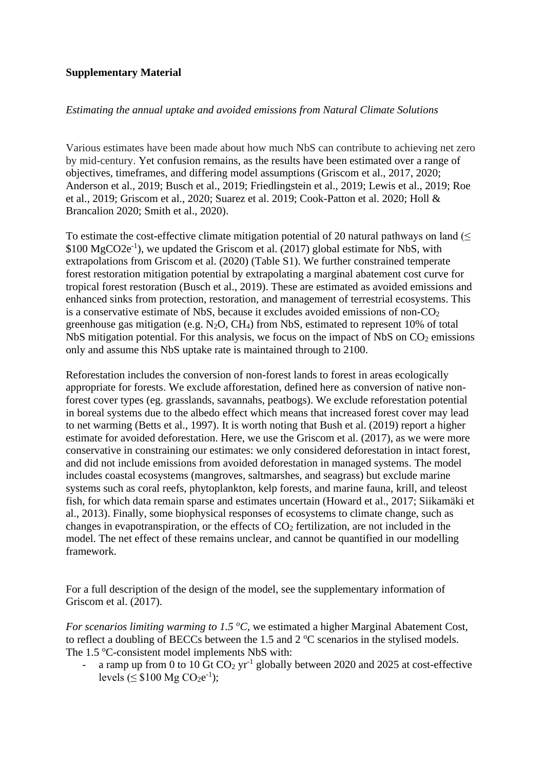#### **Supplementary Material**

#### *Estimating the annual uptake and avoided emissions from Natural Climate Solutions*

Various estimates have been made about how much NbS can contribute to achieving net zero by mid-century. Yet confusion remains, as the results have been estimated over a range of objectives, timeframes, and differing model assumptions (Griscom et al., 2017, 2020; Anderson et al., 2019; Busch et al., 2019; Friedlingstein et al., 2019; Lewis et al., 2019; Roe et al., 2019; Griscom et al., 2020; Suarez et al. 2019; Cook-Patton et al. 2020; Holl & Brancalion 2020; Smith et al., 2020).

To estimate the cost-effective climate mitigation potential of 20 natural pathways on land  $(\leq$ \$100 MgCO2e<sup>-1</sup>), we updated the Griscom et al. (2017) global estimate for NbS, with extrapolations from Griscom et al. (2020) (Table S1). We further constrained temperate forest restoration mitigation potential by extrapolating a marginal abatement cost curve for tropical forest restoration (Busch et al., 2019). These are estimated as avoided emissions and enhanced sinks from protection, restoration, and management of terrestrial ecosystems. This is a conservative estimate of NbS, because it excludes avoided emissions of non- $CO<sub>2</sub>$ greenhouse gas mitigation (e.g.  $N_2O$ , CH<sub>4</sub>) from NbS, estimated to represent 10% of total NbS mitigation potential. For this analysis, we focus on the impact of NbS on  $CO<sub>2</sub>$  emissions only and assume this NbS uptake rate is maintained through to 2100.

Reforestation includes the conversion of non-forest lands to forest in areas ecologically appropriate for forests. We exclude afforestation, defined here as conversion of native nonforest cover types (eg. grasslands, savannahs, peatbogs). We exclude reforestation potential in boreal systems due to the albedo effect which means that increased forest cover may lead to net warming (Betts et al., 1997). It is worth noting that Bush et al. (2019) report a higher estimate for avoided deforestation. Here, we use the Griscom et al. (2017), as we were more conservative in constraining our estimates: we only considered deforestation in intact forest, and did not include emissions from avoided deforestation in managed systems. The model includes coastal ecosystems (mangroves, saltmarshes, and seagrass) but exclude marine systems such as coral reefs, phytoplankton, kelp forests, and marine fauna, krill, and teleost fish, for which data remain sparse and estimates uncertain (Howard et al., 2017; Siikamäki et al., 2013). Finally, some biophysical responses of ecosystems to climate change, such as changes in evapotranspiration, or the effects of  $CO<sub>2</sub>$  fertilization, are not included in the model. The net effect of these remains unclear, and cannot be quantified in our modelling framework.

For a full description of the design of the model, see the supplementary information of Griscom et al. (2017).

*For scenarios limiting warming to 1.5 °C*, we estimated a higher Marginal Abatement Cost, to reflect a doubling of BECCs between the 1.5 and 2  $^{\circ}$ C scenarios in the stylised models. The 1.5 °C-consistent model implements NbS with:

- a ramp up from 0 to 10 Gt  $CO_2$  yr<sup>-1</sup> globally between 2020 and 2025 at cost-effective levels ( $\leq$  \$100 Mg CO<sub>2</sub>e<sup>-1</sup>);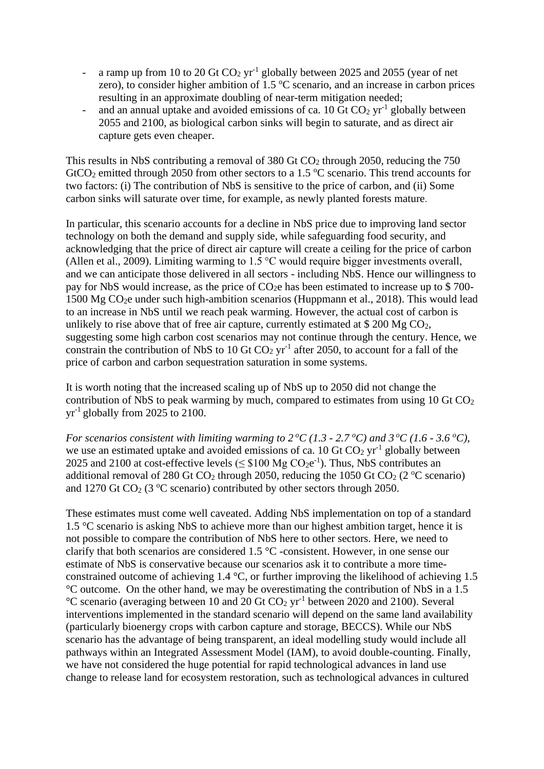- a ramp up from 10 to 20 Gt  $CO<sub>2</sub>$  yr<sup>-1</sup> globally between 2025 and 2055 (year of net zero), to consider higher ambition of  $1.5 \,^{\circ}\text{C}$  scenario, and an increase in carbon prices resulting in an approximate doubling of near-term mitigation needed;
- and an annual uptake and avoided emissions of ca. 10 Gt  $CO<sub>2</sub>$  yr<sup>-1</sup> globally between 2055 and 2100, as biological carbon sinks will begin to saturate, and as direct air capture gets even cheaper.

This results in NbS contributing a removal of 380 Gt  $CO<sub>2</sub>$  through 2050, reducing the 750 GtCO<sub>2</sub> emitted through 2050 from other sectors to a 1.5  $\textdegree$ C scenario. This trend accounts for two factors: (i) The contribution of NbS is sensitive to the price of carbon, and (ii) Some carbon sinks will saturate over time, for example, as newly planted forests mature.

In particular, this scenario accounts for a decline in NbS price due to improving land sector technology on both the demand and supply side, while safeguarding food security, and acknowledging that the price of direct air capture will create a ceiling for the price of carbon (Allen et al., 2009). Limiting warming to 1.5 °C would require bigger investments overall, and we can anticipate those delivered in all sectors - including NbS. Hence our willingness to pay for NbS would increase, as the price of  $CO<sub>2</sub>e$  has been estimated to increase up to \$700-1500 Mg CO2e under such high-ambition scenarios (Huppmann et al., 2018). This would lead to an increase in NbS until we reach peak warming. However, the actual cost of carbon is unlikely to rise above that of free air capture, currently estimated at  $$200 Mg CO<sub>2</sub>$ , suggesting some high carbon cost scenarios may not continue through the century. Hence, we constrain the contribution of NbS to 10 Gt  $CO<sub>2</sub>$  yr<sup>-1</sup> after 2050, to account for a fall of the price of carbon and carbon sequestration saturation in some systems.

It is worth noting that the increased scaling up of NbS up to 2050 did not change the contribution of NbS to peak warming by much, compared to estimates from using  $10 \text{ Gt CO}_2$  $yr^{-1}$  globally from 2025 to 2100.

*For scenarios consistent with limiting warming to*  $2^{o}C(1.3 - 2.7^{o}C)$  *and*  $3^{o}C(1.6 - 3.6^{o}C)$ *,* we use an estimated uptake and avoided emissions of ca. 10 Gt  $CO<sub>2</sub>$  yr<sup>-1</sup> globally between 2025 and 2100 at cost-effective levels ( $\leq$  \$100 Mg CO<sub>2</sub>e<sup>-1</sup>). Thus, NbS contributes an additional removal of 280 Gt CO<sub>2</sub> through 2050, reducing the 1050 Gt CO<sub>2</sub> (2 °C scenario) and 1270 Gt  $CO<sub>2</sub>$  (3 °C scenario) contributed by other sectors through 2050.

These estimates must come well caveated. Adding NbS implementation on top of a standard 1.5 °C scenario is asking NbS to achieve more than our highest ambition target, hence it is not possible to compare the contribution of NbS here to other sectors. Here, we need to clarify that both scenarios are considered 1.5 °C -consistent. However, in one sense our estimate of NbS is conservative because our scenarios ask it to contribute a more timeconstrained outcome of achieving 1.4 °C, or further improving the likelihood of achieving 1.5 °C outcome. On the other hand, we may be overestimating the contribution of NbS in a 1.5  $^{\circ}$ C scenario (averaging between 10 and 20 Gt CO<sub>2</sub> yr<sup>-1</sup> between 2020 and 2100). Several interventions implemented in the standard scenario will depend on the same land availability (particularly bioenergy crops with carbon capture and storage, BECCS). While our NbS scenario has the advantage of being transparent, an ideal modelling study would include all pathways within an Integrated Assessment Model (IAM), to avoid double-counting. Finally, we have not considered the huge potential for rapid technological advances in land use change to release land for ecosystem restoration, such as technological advances in cultured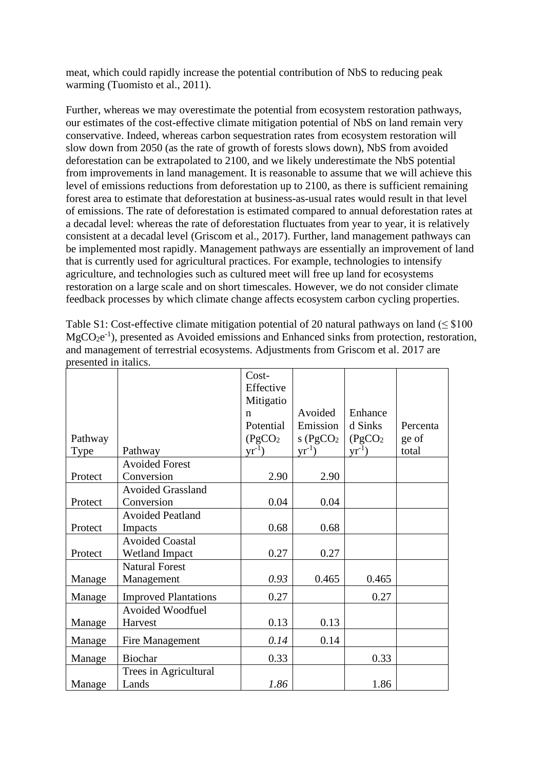meat, which could rapidly increase the potential contribution of NbS to reducing peak warming (Tuomisto et al., 2011).

Further, whereas we may overestimate the potential from ecosystem restoration pathways, our estimates of the cost-effective climate mitigation potential of NbS on land remain very conservative. Indeed, whereas carbon sequestration rates from ecosystem restoration will slow down from 2050 (as the rate of growth of forests slows down), NbS from avoided deforestation can be extrapolated to 2100, and we likely underestimate the NbS potential from improvements in land management. It is reasonable to assume that we will achieve this level of emissions reductions from deforestation up to 2100, as there is sufficient remaining forest area to estimate that deforestation at business-as-usual rates would result in that level of emissions. The rate of deforestation is estimated compared to annual deforestation rates at a decadal level: whereas the rate of deforestation fluctuates from year to year, it is relatively consistent at a decadal level (Griscom et al., 2017). Further, land management pathways can be implemented most rapidly. Management pathways are essentially an improvement of land that is currently used for agricultural practices. For example, technologies to intensify agriculture, and technologies such as cultured meet will free up land for ecosystems restoration on a large scale and on short timescales. However, we do not consider climate feedback processes by which climate change affects ecosystem carbon cycling properties.

Table S1: Cost-effective climate mitigation potential of 20 natural pathways on land ( $\leq$  \$100  $MgCO<sub>2</sub>e<sup>-1</sup>$ ), presented as Avoided emissions and Enhanced sinks from protection, restoration, and management of terrestrial ecosystems. Adjustments from Griscom et al. 2017 are presented in italics.

|         |                             | Cost-                |                       |                      |          |
|---------|-----------------------------|----------------------|-----------------------|----------------------|----------|
|         |                             | Effective            |                       |                      |          |
|         |                             | Mitigatio            |                       |                      |          |
|         |                             | n                    | Avoided               | Enhance              |          |
|         |                             | Potential            | Emission              | d Sinks              | Percenta |
| Pathway |                             | (PgCO <sub>2</sub> ) | s(PgCO <sub>2</sub> ) | (PgCO <sub>2</sub> ) | ge of    |
| Type    | Pathway                     | $yr^{-1}$ )          | $\rm{yr}^{-1}$ )      | $\rm{yr}^{-1}$ )     | total    |
|         | <b>Avoided Forest</b>       |                      |                       |                      |          |
| Protect | Conversion                  | 2.90                 | 2.90                  |                      |          |
|         | <b>Avoided Grassland</b>    |                      |                       |                      |          |
| Protect | Conversion                  | 0.04                 | 0.04                  |                      |          |
|         | <b>Avoided Peatland</b>     |                      |                       |                      |          |
| Protect | Impacts                     | 0.68                 | 0.68                  |                      |          |
|         | <b>Avoided Coastal</b>      |                      |                       |                      |          |
| Protect | <b>Wetland Impact</b>       | 0.27                 | 0.27                  |                      |          |
|         | <b>Natural Forest</b>       |                      |                       |                      |          |
| Manage  | Management                  | 0.93                 | 0.465                 | 0.465                |          |
| Manage  | <b>Improved Plantations</b> | 0.27                 |                       | 0.27                 |          |
|         | <b>Avoided Woodfuel</b>     |                      |                       |                      |          |
| Manage  | Harvest                     | 0.13                 | 0.13                  |                      |          |
| Manage  | Fire Management             | 0.14                 | 0.14                  |                      |          |
| Manage  | <b>Biochar</b>              | 0.33                 |                       | 0.33                 |          |
|         | Trees in Agricultural       |                      |                       |                      |          |
| Manage  | Lands                       | 1.86                 |                       | 1.86                 |          |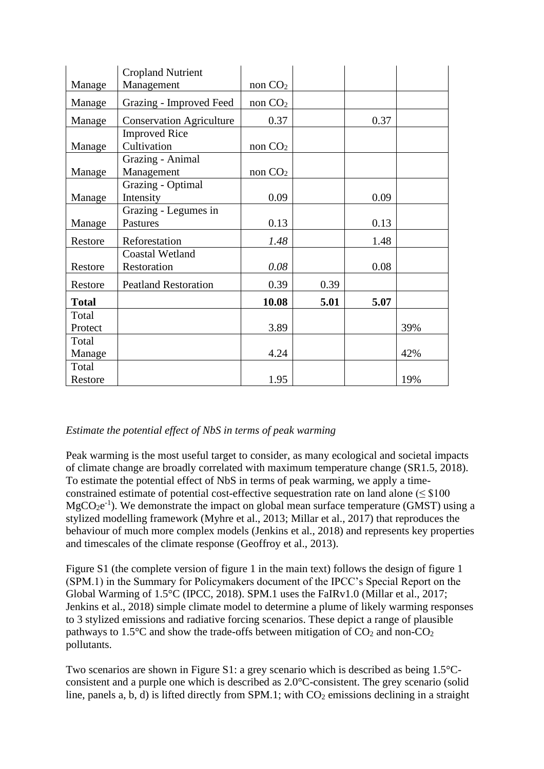|              | <b>Cropland Nutrient</b>        |                     |      |      |     |
|--------------|---------------------------------|---------------------|------|------|-----|
| Manage       | Management                      | non CO <sub>2</sub> |      |      |     |
| Manage       | Grazing - Improved Feed         | non CO <sub>2</sub> |      |      |     |
| Manage       | <b>Conservation Agriculture</b> | 0.37                |      | 0.37 |     |
|              | <b>Improved Rice</b>            |                     |      |      |     |
| Manage       | Cultivation                     | non CO <sub>2</sub> |      |      |     |
|              | Grazing - Animal                |                     |      |      |     |
| Manage       | Management                      | non CO <sub>2</sub> |      |      |     |
|              | Grazing - Optimal               |                     |      |      |     |
| Manage       | Intensity                       | 0.09                |      | 0.09 |     |
|              | Grazing - Legumes in            |                     |      |      |     |
| Manage       | Pastures                        | 0.13                |      | 0.13 |     |
| Restore      | Reforestation                   | 1.48                |      | 1.48 |     |
|              | <b>Coastal Wetland</b>          |                     |      |      |     |
| Restore      | Restoration                     | 0.08                |      | 0.08 |     |
| Restore      | <b>Peatland Restoration</b>     | 0.39                | 0.39 |      |     |
| <b>Total</b> |                                 | 10.08               | 5.01 | 5.07 |     |
| Total        |                                 |                     |      |      |     |
| Protect      |                                 | 3.89                |      |      | 39% |
| Total        |                                 |                     |      |      |     |
| Manage       |                                 | 4.24                |      |      | 42% |
| Total        |                                 |                     |      |      |     |
| Restore      |                                 | 1.95                |      |      | 19% |

### *Estimate the potential effect of NbS in terms of peak warming*

Peak warming is the most useful target to consider, as many ecological and societal impacts of climate change are broadly correlated with maximum temperature change (SR1.5, 2018). To estimate the potential effect of NbS in terms of peak warming, we apply a timeconstrained estimate of potential cost-effective sequestration rate on land alone ( $\leq$  \$100  $MgCO<sub>2</sub>e<sup>-1</sup>$ ). We demonstrate the impact on global mean surface temperature (GMST) using a stylized modelling framework (Myhre et al., 2013; Millar et al., 2017) that reproduces the behaviour of much more complex models (Jenkins et al., 2018) and represents key properties and timescales of the climate response (Geoffroy et al., 2013).

Figure S1 (the complete version of figure 1 in the main text) follows the design of figure 1 (SPM.1) in the Summary for Policymakers document of the IPCC's Special Report on the Global Warming of 1.5°C (IPCC, 2018). SPM.1 uses the FaIRv1.0 (Millar et al., 2017; Jenkins et al., 2018) simple climate model to determine a plume of likely warming responses to 3 stylized emissions and radiative forcing scenarios. These depict a range of plausible pathways to 1.5 $\degree$ C and show the trade-offs between mitigation of CO<sub>2</sub> and non-CO<sub>2</sub> pollutants.

Two scenarios are shown in Figure S1: a grey scenario which is described as being 1.5°Cconsistent and a purple one which is described as 2.0°C-consistent. The grey scenario (solid line, panels a, b, d) is lifted directly from SPM.1; with  $CO<sub>2</sub>$  emissions declining in a straight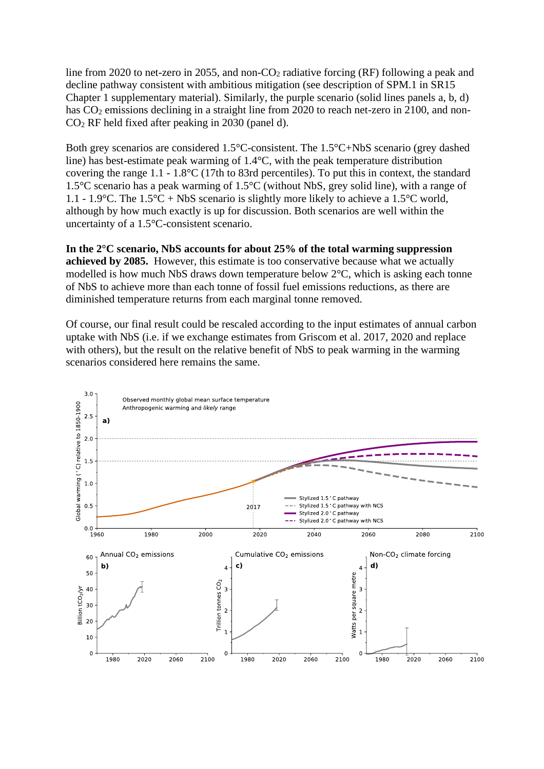line from 2020 to net-zero in 2055, and non- $CO<sub>2</sub>$  radiative forcing (RF) following a peak and decline pathway consistent with ambitious mitigation (see description of SPM.1 in SR15 Chapter 1 supplementary material). Similarly, the purple scenario (solid lines panels a, b, d) has CO<sub>2</sub> emissions declining in a straight line from 2020 to reach net-zero in 2100, and non-CO<sup>2</sup> RF held fixed after peaking in 2030 (panel d).

Both grey scenarios are considered 1.5°C-consistent. The 1.5°C+NbS scenario (grey dashed line) has best-estimate peak warming of 1.4°C, with the peak temperature distribution covering the range 1.1 - 1.8°C (17th to 83rd percentiles). To put this in context, the standard 1.5°C scenario has a peak warming of 1.5°C (without NbS, grey solid line), with a range of 1.1 - 1.9 $\degree$ C. The 1.5 $\degree$ C + NbS scenario is slightly more likely to achieve a 1.5 $\degree$ C world, although by how much exactly is up for discussion. Both scenarios are well within the uncertainty of a 1.5°C-consistent scenario.

**In the 2°C scenario, NbS accounts for about 25% of the total warming suppression achieved by 2085.** However, this estimate is too conservative because what we actually modelled is how much NbS draws down temperature below 2°C, which is asking each tonne of NbS to achieve more than each tonne of fossil fuel emissions reductions, as there are diminished temperature returns from each marginal tonne removed.

Of course, our final result could be rescaled according to the input estimates of annual carbon uptake with NbS (i.e. if we exchange estimates from Griscom et al. 2017, 2020 and replace with others), but the result on the relative benefit of NbS to peak warming in the warming scenarios considered here remains the same.

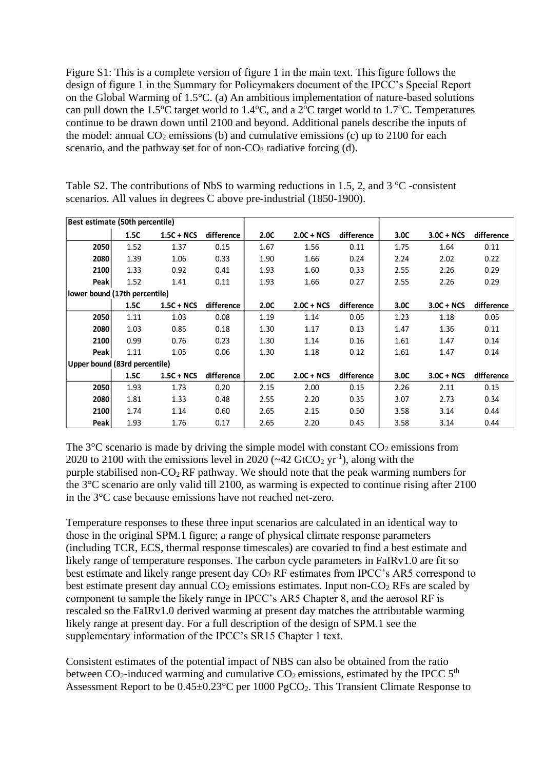Figure S1: This is a complete version of figure 1 in the main text. This figure follows the design of figure 1 in the Summary for Policymakers document of the IPCC's Special Report on the Global Warming of 1.5°C. (a) An ambitious implementation of nature-based solutions can pull down the 1.5<sup>o</sup>C target world to 1.4<sup>o</sup>C, and a  $2^{\circ}$ C target world to 1.7<sup>o</sup>C. Temperatures continue to be drawn down until 2100 and beyond. Additional panels describe the inputs of the model: annual  $CO<sub>2</sub>$  emissions (b) and cumulative emissions (c) up to 2100 for each scenario, and the pathway set for of non- $CO<sub>2</sub>$  radiative forcing (d).

| Best estimate (50th percentile) |      |              |            |      |              |            |      |              |            |
|---------------------------------|------|--------------|------------|------|--------------|------------|------|--------------|------------|
|                                 | 1.5C | $1.5C + NCS$ | difference | 2.0C | $2.0C + NCS$ | difference | 3.0C | $3.0C + NCS$ | difference |
| 2050                            | 1.52 | 1.37         | 0.15       | 1.67 | 1.56         | 0.11       | 1.75 | 1.64         | 0.11       |
| 2080                            | 1.39 | 1.06         | 0.33       | 1.90 | 1.66         | 0.24       | 2.24 | 2.02         | 0.22       |
| 2100                            | 1.33 | 0.92         | 0.41       | 1.93 | 1.60         | 0.33       | 2.55 | 2.26         | 0.29       |
| <b>Peak</b>                     | 1.52 | 1.41         | 0.11       | 1.93 | 1.66         | 0.27       | 2.55 | 2.26         | 0.29       |
| lower bound (17th percentile)   |      |              |            |      |              |            |      |              |            |
|                                 | 1.5C | $1.5C + NCS$ | difference | 2.0C | $2.0C + NCS$ | difference | 3.0C | $3.0C + NCS$ | difference |
| 2050                            | 1.11 | 1.03         | 0.08       | 1.19 | 1.14         | 0.05       | 1.23 | 1.18         | 0.05       |
| 2080                            | 1.03 | 0.85         | 0.18       | 1.30 | 1.17         | 0.13       | 1.47 | 1.36         | 0.11       |
| 2100                            | 0.99 | 0.76         | 0.23       | 1.30 | 1.14         | 0.16       | 1.61 | 1.47         | 0.14       |
| <b>Peak</b>                     | 1.11 | 1.05         | 0.06       | 1.30 | 1.18         | 0.12       | 1.61 | 1.47         | 0.14       |
| Upper bound (83rd percentile)   |      |              |            |      |              |            |      |              |            |
|                                 | 1.5C | $1.5C + NCS$ | difference | 2.0C | $2.0C + NCS$ | difference | 3.0C | $3.0C + NCS$ | difference |
| 2050                            | 1.93 | 1.73         | 0.20       | 2.15 | 2.00         | 0.15       | 2.26 | 2.11         | 0.15       |
| 2080                            | 1.81 | 1.33         | 0.48       | 2.55 | 2.20         | 0.35       | 3.07 | 2.73         | 0.34       |
| 2100                            | 1.74 | 1.14         | 0.60       | 2.65 | 2.15         | 0.50       | 3.58 | 3.14         | 0.44       |
| Peak                            | 1.93 | 1.76         | 0.17       | 2.65 | 2.20         | 0.45       | 3.58 | 3.14         | 0.44       |

Table S2. The contributions of NbS to warming reductions in 1.5, 2, and  $3^{\circ}$ C -consistent scenarios. All values in degrees C above pre-industrial (1850-1900).

The  $3^{\circ}$ C scenario is made by driving the simple model with constant  $CO_2$  emissions from 2020 to 2100 with the emissions level in 2020 ( $\sim$  42 GtCO<sub>2</sub> yr<sup>-1</sup>), along with the purple stabilised non- $CO<sub>2</sub>$  RF pathway. We should note that the peak warming numbers for the 3°C scenario are only valid till 2100, as warming is expected to continue rising after 2100 in the 3°C case because emissions have not reached net-zero.

Temperature responses to these three input scenarios are calculated in an identical way to those in the original SPM.1 figure; a range of physical climate response parameters (including TCR, ECS, thermal response timescales) are covaried to find a best estimate and likely range of temperature responses. The carbon cycle parameters in FaIRv1.0 are fit so best estimate and likely range present day  $CO<sub>2</sub>$  RF estimates from IPCC's AR5 correspond to best estimate present day annual  $CO<sub>2</sub>$  emissions estimates. Input non- $CO<sub>2</sub>$  RFs are scaled by component to sample the likely range in IPCC's AR5 Chapter 8, and the aerosol RF is rescaled so the FaIRv1.0 derived warming at present day matches the attributable warming likely range at present day. For a full description of the design of SPM.1 see the supplementary information of the IPCC's SR15 Chapter 1 text.

Consistent estimates of the potential impact of NBS can also be obtained from the ratio between  $CO_2$ -induced warming and cumulative  $CO_2$  emissions, estimated by the IPCC  $5<sup>th</sup>$ Assessment Report to be 0.45±0.23°C per 1000 PgCO2. This Transient Climate Response to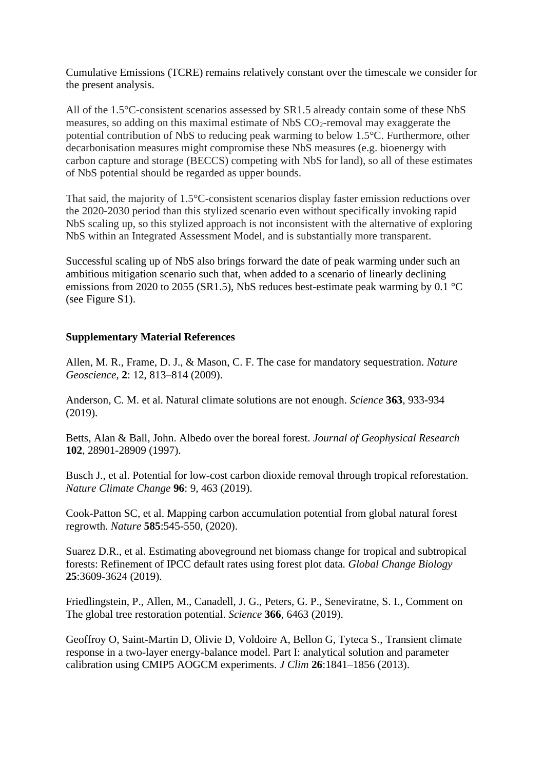Cumulative Emissions (TCRE) remains relatively constant over the timescale we consider for the present analysis.

All of the 1.5°C-consistent scenarios assessed by SR1.5 already contain some of these NbS measures, so adding on this maximal estimate of NbS  $CO_2$ -removal may exaggerate the potential contribution of NbS to reducing peak warming to below 1.5°C. Furthermore, other decarbonisation measures might compromise these NbS measures (e.g. bioenergy with carbon capture and storage (BECCS) competing with NbS for land), so all of these estimates of NbS potential should be regarded as upper bounds.

That said, the majority of 1.5°C-consistent scenarios display faster emission reductions over the 2020-2030 period than this stylized scenario even without specifically invoking rapid NbS scaling up, so this stylized approach is not inconsistent with the alternative of exploring NbS within an Integrated Assessment Model, and is substantially more transparent.

Successful scaling up of NbS also brings forward the date of peak warming under such an ambitious mitigation scenario such that, when added to a scenario of linearly declining emissions from 2020 to 2055 (SR1.5), NbS reduces best-estimate peak warming by 0.1 °C (see Figure S1).

### **Supplementary Material References**

Allen, M. R., Frame, D. J., & Mason, C. F. The case for mandatory sequestration. *Nature Geoscience*, **2**: 12, 813–814 (2009).

Anderson, C. M. et al. Natural climate solutions are not enough. *Science* **363**, 933-934 (2019).

Betts, Alan & Ball, John. Albedo over the boreal forest. *Journal of Geophysical Research* **102**, 28901-28909 (1997).

Busch J., et al. Potential for low-cost carbon dioxide removal through tropical reforestation. *Nature Climate Change* **96**: 9, 463 (2019).

Cook-Patton SC, et al. Mapping carbon accumulation potential from global natural forest regrowth. *Nature* **585**:545-550, (2020).

Suarez D.R., et al. Estimating aboveground net biomass change for tropical and subtropical forests: Refinement of IPCC default rates using forest plot data. *Global Change Biology* **25**:3609-3624 (2019).

Friedlingstein, P., Allen, M., Canadell, J. G., Peters, G. P., Seneviratne, S. I., Comment on The global tree restoration potential. *Science* **366**, 6463 (2019).

Geoffroy O, Saint-Martin D, Olivie D, Voldoire A, Bellon G, Tyteca S., Transient climate response in a two-layer energy-balance model. Part I: analytical solution and parameter calibration using CMIP5 AOGCM experiments. *J Clim* **26**:1841–1856 (2013).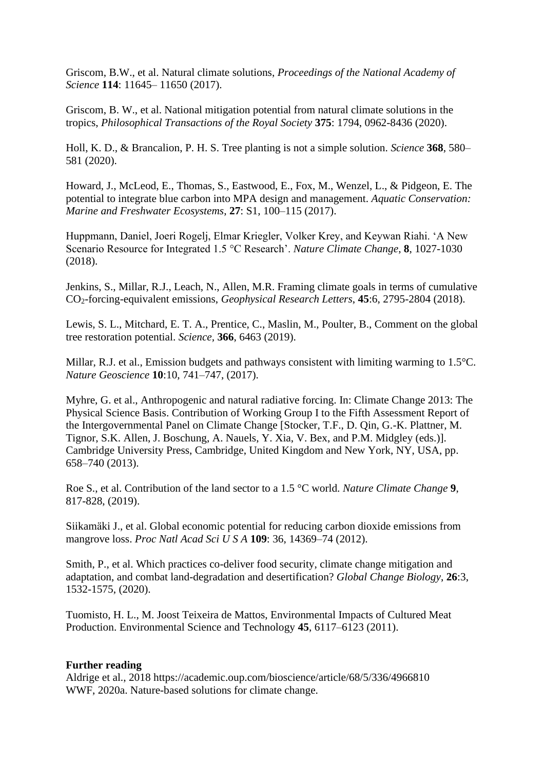Griscom, B.W., et al. Natural climate solutions, *Proceedings of the National Academy of Science* **114**: 11645– 11650 (2017).

Griscom, B. W., et al. National mitigation potential from natural climate solutions in the tropics, *Philosophical Transactions of the Royal Society* **375**: 1794, 0962-8436 (2020).

Holl, K. D., & Brancalion, P. H. S. Tree planting is not a simple solution. *Science* **368**, 580– 581 (2020).

Howard, J., McLeod, E., Thomas, S., Eastwood, E., Fox, M., Wenzel, L., & Pidgeon, E. The potential to integrate blue carbon into MPA design and management. *Aquatic Conservation: Marine and Freshwater Ecosystems*, **27**: S1, 100–115 (2017).

Huppmann, Daniel, Joeri Rogelj, Elmar Kriegler, Volker Krey, and Keywan Riahi. 'A New Scenario Resource for Integrated 1.5 °C Research'. *Nature Climate Change*, **8**, 1027-1030 (2018).

Jenkins, S., Millar, R.J., Leach, N., Allen, M.R. Framing climate goals in terms of cumulative CO2-forcing-equivalent emissions, *Geophysical [Research Letters](https://agupubs.onlinelibrary.wiley.com/journal/19448007)*, **45**:6, 2795-2804 (2018).

Lewis, S. L., Mitchard, E. T. A., Prentice, C., Maslin, M., Poulter, B., Comment on the global tree restoration potential. *Science,* **366**, 6463 (2019).

Millar, R.J. et al., Emission budgets and pathways consistent with limiting warming to 1.5°C. *Nature Geoscience* **10**:10, 741–747, (2017).

Myhre, G. et al., Anthropogenic and natural radiative forcing. In: Climate Change 2013: The Physical Science Basis. Contribution of Working Group I to the Fifth Assessment Report of the Intergovernmental Panel on Climate Change [Stocker, T.F., D. Qin, G.-K. Plattner, M. Tignor, S.K. Allen, J. Boschung, A. Nauels, Y. Xia, V. Bex, and P.M. Midgley (eds.)]. Cambridge University Press, Cambridge, United Kingdom and New York, NY, USA, pp. 658–740 (2013).

Roe S., et al. Contribution of the land sector to a 1.5 °C world. *Nature Climate Change* **9**, 817-828, (2019).

Siikamäki J., et al. Global economic potential for reducing carbon dioxide emissions from mangrove loss. *Proc Natl Acad Sci U S A* **109**: 36, 14369–74 (2012).

Smith, P., et al. Which practices co-deliver food security, climate change mitigation and adaptation, and combat land-degradation and desertification? *Global Change Biology*, **26**:3, 1532-1575, (2020).

Tuomisto, H. L., M. Joost Teixeira de Mattos, Environmental Impacts of Cultured Meat Production. Environmental Science and Technology **45**, 6117–6123 (2011).

#### **Further reading**

Aldrige et al., 2018 https://academic.oup.com/bioscience/article/68/5/336/4966810 WWF, 2020a. Nature-based solutions for climate change.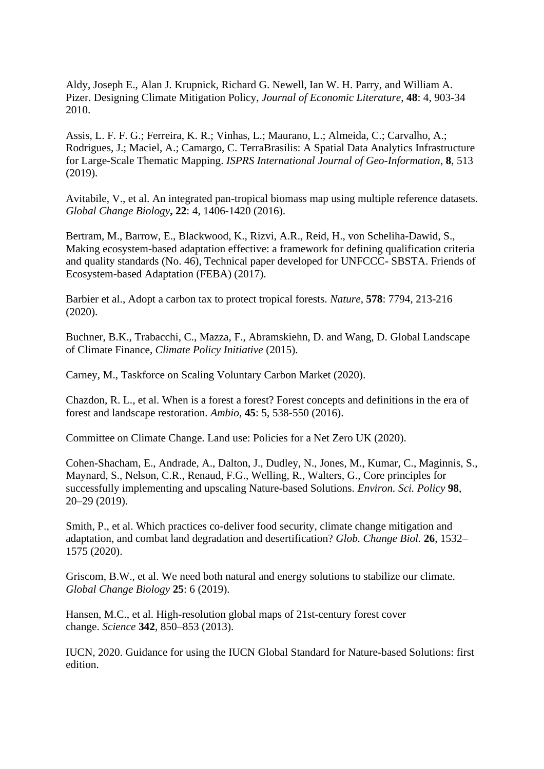Aldy, Joseph E., Alan J. Krupnick, Richard G. Newell, Ian W. H. Parry, and William A. Pizer. Designing Climate Mitigation Policy, *Journal of Economic Literature*, **48**: 4, 903-34 2010.

Assis, L. F. F. G.; Ferreira, K. R.; Vinhas, L.; Maurano, L.; Almeida, C.; Carvalho, A.; Rodrigues, J.; Maciel, A.; Camargo, C. TerraBrasilis: A Spatial Data Analytics Infrastructure for Large-Scale Thematic Mapping. *ISPRS International Journal of Geo-Information*, **8**, 513 (2019).

Avitabile, V., et al. An integrated pan-tropical biomass map using multiple reference datasets. *Global Change Biology***, 22**: 4, 1406-1420 (2016).

Bertram, M., Barrow, E., Blackwood, K., Rizvi, A.R., Reid, H., von Scheliha-Dawid, S., Making ecosystem-based adaptation effective: a framework for defining qualification criteria and quality standards (No. 46), Technical paper developed for UNFCCC- SBSTA. Friends of Ecosystem-based Adaptation (FEBA) (2017).

Barbier et al., Adopt a carbon tax to protect tropical forests. *[Nature](https://www.researchgate.net/journal/0028-0836_Nature)*, **578**: 7794, 213-216 (2020).

Buchner, B.K., Trabacchi, C., Mazza, F., Abramskiehn, D. and Wang, D. Global Landscape of Climate Finance, *Climate Policy Initiative* (2015).

Carney, M., Taskforce on Scaling Voluntary Carbon Market (2020).

Chazdon, R. L., et al. When is a forest a forest? Forest concepts and definitions in the era of forest and landscape restoration. *Ambio,* **45**: 5, 538-550 (2016).

Committee on Climate Change. Land use: Policies for a Net Zero UK (2020).

Cohen-Shacham, E., Andrade, A., Dalton, J., Dudley, N., Jones, M., Kumar, C., Maginnis, S., Maynard, S., Nelson, C.R., Renaud, F.G., Welling, R., Walters, G., Core principles for successfully implementing and upscaling Nature-based Solutions. *Environ. Sci. Policy* **98**, 20–29 (2019).

Smith, P., et al. Which practices co-deliver food security, climate change mitigation and adaptation, and combat land degradation and desertification? *Glob. Change Biol.* **26**, 1532– 1575 (2020).

Griscom, B.W., et al. We need both natural and energy solutions to stabilize our climate. *Global Change Biology* **25**: 6 (2019).

Hansen, M.C., et al. High-resolution global maps of 21st-century forest cover change. *Science* **342**, 850–853 (2013).

IUCN, 2020. Guidance for using the IUCN Global Standard for Nature-based Solutions: first edition.